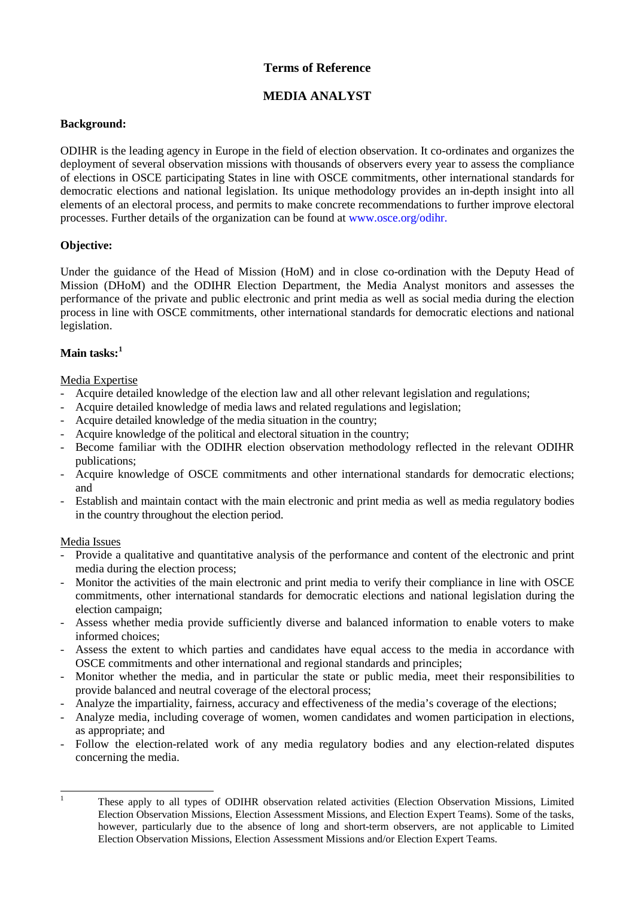# **Terms of Reference**

# **MEDIA ANALYST**

#### **Background:**

ODIHR is the leading agency in Europe in the field of election observation. It co-ordinates and organizes the deployment of several observation missions with thousands of observers every year to assess the compliance of elections in OSCE participating States in line with OSCE commitments, other international standards for democratic elections and national legislation. Its unique methodology provides an in-depth insight into all elements of an electoral process, and permits to make concrete recommendations to further improve electoral processes. Further details of the organization can be found at [www.osce.org/odihr.](http://www.osce.org/odihr)

### **Objective:**

Under the guidance of the Head of Mission (HoM) and in close co-ordination with the Deputy Head of Mission (DHoM) and the ODIHR Election Department, the Media Analyst monitors and assesses the performance of the private and public electronic and print media as well as social media during the election process in line with OSCE commitments, other international standards for democratic elections and national legislation.

# **Main tasks: [1](#page-0-0)**

#### Media Expertise

- Acquire detailed knowledge of the election law and all other relevant legislation and regulations;
- Acquire detailed knowledge of media laws and related regulations and legislation;
- Acquire detailed knowledge of the media situation in the country;
- Acquire knowledge of the political and electoral situation in the country;
- Become familiar with the ODIHR election observation methodology reflected in the relevant ODIHR publications;
- Acquire knowledge of OSCE commitments and other international standards for democratic elections; and
- Establish and maintain contact with the main electronic and print media as well as media regulatory bodies in the country throughout the election period.

#### Media Issues

- Provide a qualitative and quantitative analysis of the performance and content of the electronic and print media during the election process;
- Monitor the activities of the main electronic and print media to verify their compliance in line with OSCE commitments, other international standards for democratic elections and national legislation during the election campaign;
- Assess whether media provide sufficiently diverse and balanced information to enable voters to make informed choices;
- Assess the extent to which parties and candidates have equal access to the media in accordance with OSCE commitments and other international and regional standards and principles;
- Monitor whether the media, and in particular the state or public media, meet their responsibilities to provide balanced and neutral coverage of the electoral process;
- Analyze the impartiality, fairness, accuracy and effectiveness of the media's coverage of the elections;
- Analyze media, including coverage of women, women candidates and women participation in elections, as appropriate; and
- Follow the election-related work of any media regulatory bodies and any election-related disputes concerning the media.

<span id="page-0-0"></span>

<sup>&</sup>lt;sup>1</sup> These apply to all types of ODIHR observation related activities (Election Observation Missions, Limited Election Observation Missions, Election Assessment Missions, and Election Expert Teams). Some of the tasks, however, particularly due to the absence of long and short-term observers, are not applicable to Limited Election Observation Missions, Election Assessment Missions and/or Election Expert Teams.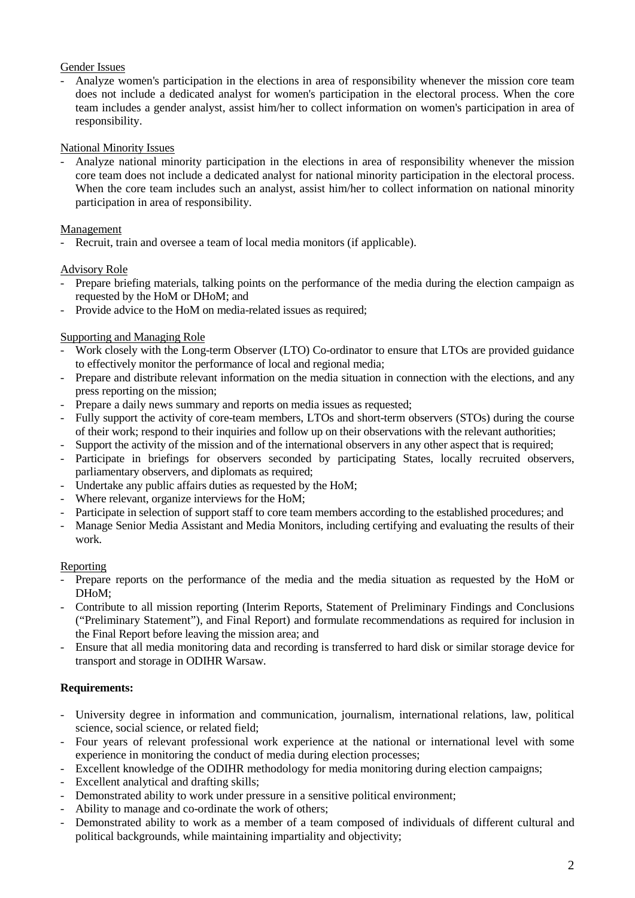## Gender Issues

- Analyze women's participation in the elections in area of responsibility whenever the mission core team does not include a dedicated analyst for women's participation in the electoral process. When the core team includes a gender analyst, assist him/her to collect information on women's participation in area of responsibility.

## National Minority Issues

- Analyze national minority participation in the elections in area of responsibility whenever the mission core team does not include a dedicated analyst for national minority participation in the electoral process. When the core team includes such an analyst, assist him/her to collect information on national minority participation in area of responsibility.

## Management

Recruit, train and oversee a team of local media monitors (if applicable).

## Advisory Role

- Prepare briefing materials, talking points on the performance of the media during the election campaign as requested by the HoM or DHoM; and
- Provide advice to the HoM on media-related issues as required;

## Supporting and Managing Role

- Work closely with the Long-term Observer (LTO) Co-ordinator to ensure that LTOs are provided guidance to effectively monitor the performance of local and regional media;
- Prepare and distribute relevant information on the media situation in connection with the elections, and any press reporting on the mission;
- Prepare a daily news summary and reports on media issues as requested;
- Fully support the activity of core-team members, LTOs and short-term observers (STOs) during the course of their work; respond to their inquiries and follow up on their observations with the relevant authorities;
- Support the activity of the mission and of the international observers in any other aspect that is required;
- Participate in briefings for observers seconded by participating States, locally recruited observers, parliamentary observers, and diplomats as required;
- Undertake any public affairs duties as requested by the HoM;
- Where relevant, organize interviews for the HoM;
- Participate in selection of support staff to core team members according to the established procedures; and
- Manage Senior Media Assistant and Media Monitors, including certifying and evaluating the results of their work.

### Reporting

- Prepare reports on the performance of the media and the media situation as requested by the HoM or DHoM;
- Contribute to all mission reporting (Interim Reports, Statement of Preliminary Findings and Conclusions ("Preliminary Statement"), and Final Report) and formulate recommendations as required for inclusion in the Final Report before leaving the mission area; and
- Ensure that all media monitoring data and recording is transferred to hard disk or similar storage device for transport and storage in ODIHR Warsaw.

# **Requirements:**

- University degree in information and communication, journalism, international relations, law, political science, social science, or related field;
- Four years of relevant professional work experience at the national or international level with some experience in monitoring the conduct of media during election processes;
- Excellent knowledge of the ODIHR methodology for media monitoring during election campaigns;
- Excellent analytical and drafting skills;
- Demonstrated ability to work under pressure in a sensitive political environment;
- Ability to manage and co-ordinate the work of others;
- Demonstrated ability to work as a member of a team composed of individuals of different cultural and political backgrounds, while maintaining impartiality and objectivity;